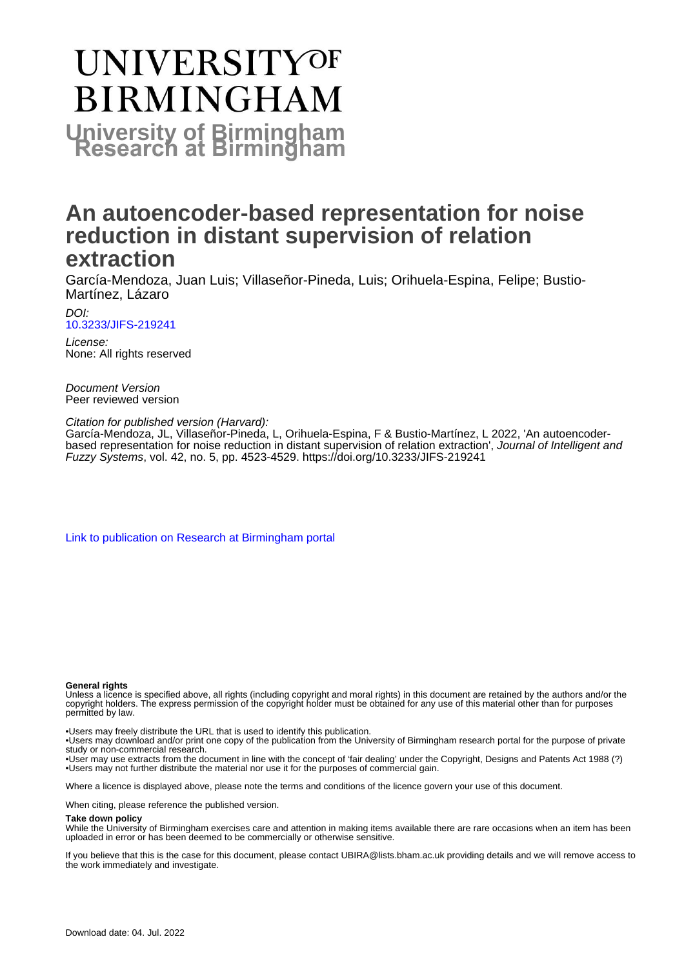# **UNIVERSITYOF BIRMINGHAM University of Birmingham**

### **An autoencoder-based representation for noise reduction in distant supervision of relation extraction**

García-Mendoza, Juan Luis; Villaseñor-Pineda, Luis; Orihuela-Espina, Felipe; Bustio-Martínez, Lázaro

DOI: [10.3233/JIFS-219241](https://doi.org/10.3233/JIFS-219241)

License: None: All rights reserved

Document Version Peer reviewed version

Citation for published version (Harvard):

García-Mendoza, JL, Villaseñor-Pineda, L, Orihuela-Espina, F & Bustio-Martínez, L 2022, 'An autoencoderbased representation for noise reduction in distant supervision of relation extraction', Journal of Intelligent and Fuzzy Systems, vol. 42, no. 5, pp. 4523-4529.<https://doi.org/10.3233/JIFS-219241>

[Link to publication on Research at Birmingham portal](https://birmingham.elsevierpure.com/en/publications/5f927474-620f-4a4c-aec4-90b2be8aa20f)

#### **General rights**

Unless a licence is specified above, all rights (including copyright and moral rights) in this document are retained by the authors and/or the copyright holders. The express permission of the copyright holder must be obtained for any use of this material other than for purposes permitted by law.

• Users may freely distribute the URL that is used to identify this publication.

• Users may download and/or print one copy of the publication from the University of Birmingham research portal for the purpose of private study or non-commercial research.

• User may use extracts from the document in line with the concept of 'fair dealing' under the Copyright, Designs and Patents Act 1988 (?) • Users may not further distribute the material nor use it for the purposes of commercial gain.

Where a licence is displayed above, please note the terms and conditions of the licence govern your use of this document.

When citing, please reference the published version.

#### **Take down policy**

While the University of Birmingham exercises care and attention in making items available there are rare occasions when an item has been uploaded in error or has been deemed to be commercially or otherwise sensitive.

If you believe that this is the case for this document, please contact UBIRA@lists.bham.ac.uk providing details and we will remove access to the work immediately and investigate.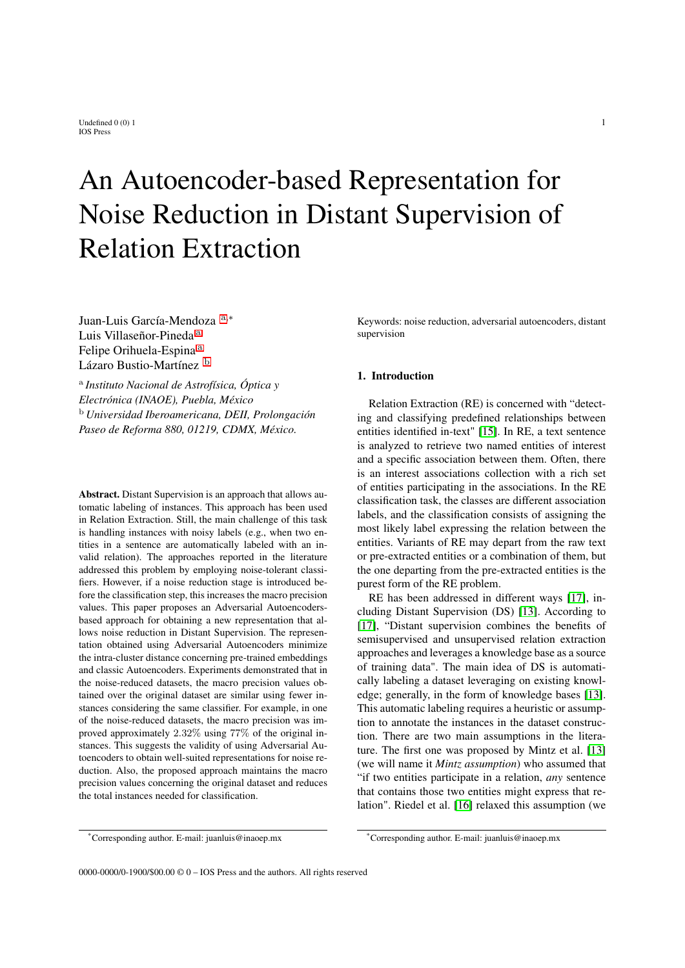## An Autoencoder-based Representation for Noise Reduction in Distant Supervision of Relation Extraction

Juan-Luis García-Mendoza [a](#page-1-0),<sup>∗</sup> Luis Villaseñor-Pineda [a](#page-1-0) Felipe Orihuel[a](#page-1-0)-Espina<sup>a</sup> Lázaro Bustio-Martínez [b](#page-1-1)

<span id="page-1-1"></span><span id="page-1-0"></span>a *Instituto Nacional de Astrofísica, Óptica y Electrónica (INAOE), Puebla, México* <sup>b</sup> *Universidad Iberoamericana, DEII, Prolongación Paseo de Reforma 880, 01219, CDMX, México.*

Abstract. Distant Supervision is an approach that allows automatic labeling of instances. This approach has been used in Relation Extraction. Still, the main challenge of this task is handling instances with noisy labels (e.g., when two entities in a sentence are automatically labeled with an invalid relation). The approaches reported in the literature addressed this problem by employing noise-tolerant classifiers. However, if a noise reduction stage is introduced before the classification step, this increases the macro precision values. This paper proposes an Adversarial Autoencodersbased approach for obtaining a new representation that allows noise reduction in Distant Supervision. The representation obtained using Adversarial Autoencoders minimize the intra-cluster distance concerning pre-trained embeddings and classic Autoencoders. Experiments demonstrated that in the noise-reduced datasets, the macro precision values obtained over the original dataset are similar using fewer instances considering the same classifier. For example, in one of the noise-reduced datasets, the macro precision was improved approximately 2.32% using 77% of the original instances. This suggests the validity of using Adversarial Autoencoders to obtain well-suited representations for noise reduction. Also, the proposed approach maintains the macro precision values concerning the original dataset and reduces the total instances needed for classification.

Keywords: noise reduction, adversarial autoencoders, distant supervision

#### 1. Introduction

Relation Extraction (RE) is concerned with "detecting and classifying predefined relationships between entities identified in-text" [\[15\]](#page-8-0). In RE, a text sentence is analyzed to retrieve two named entities of interest and a specific association between them. Often, there is an interest associations collection with a rich set of entities participating in the associations. In the RE classification task, the classes are different association labels, and the classification consists of assigning the most likely label expressing the relation between the entities. Variants of RE may depart from the raw text or pre-extracted entities or a combination of them, but the one departing from the pre-extracted entities is the purest form of the RE problem.

RE has been addressed in different ways [\[17\]](#page-8-1), including Distant Supervision (DS) [\[13\]](#page-8-2). According to [\[17\]](#page-8-1), "Distant supervision combines the benefits of semisupervised and unsupervised relation extraction approaches and leverages a knowledge base as a source of training data". The main idea of DS is automatically labeling a dataset leveraging on existing knowledge; generally, in the form of knowledge bases [\[13\]](#page-8-2). This automatic labeling requires a heuristic or assumption to annotate the instances in the dataset construction. There are two main assumptions in the literature. The first one was proposed by Mintz et al. [\[13\]](#page-8-2) (we will name it *Mintz assumption*) who assumed that "if two entities participate in a relation, *any* sentence that contains those two entities might express that relation". Riedel et al. [\[16\]](#page-8-3) relaxed this assumption (we

<sup>\*</sup>Corresponding author. E-mail: juanluis@inaoep.mx

<sup>\*</sup>Corresponding author. E-mail: juanluis@inaoep.mx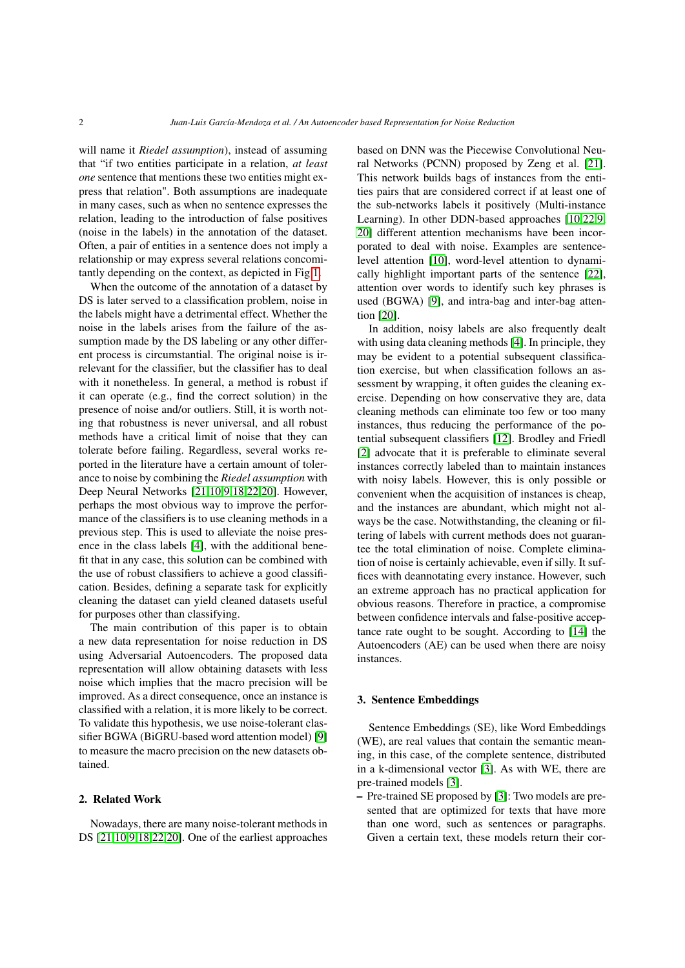will name it *Riedel assumption*), instead of assuming that "if two entities participate in a relation, *at least one* sentence that mentions these two entities might express that relation". Both assumptions are inadequate in many cases, such as when no sentence expresses the relation, leading to the introduction of false positives (noise in the labels) in the annotation of the dataset. Often, a pair of entities in a sentence does not imply a relationship or may express several relations concomitantly depending on the context, as depicted in Fig [1.](#page-3-0)

When the outcome of the annotation of a dataset by DS is later served to a classification problem, noise in the labels might have a detrimental effect. Whether the noise in the labels arises from the failure of the assumption made by the DS labeling or any other different process is circumstantial. The original noise is irrelevant for the classifier, but the classifier has to deal with it nonetheless. In general, a method is robust if it can operate (e.g., find the correct solution) in the presence of noise and/or outliers. Still, it is worth noting that robustness is never universal, and all robust methods have a critical limit of noise that they can tolerate before failing. Regardless, several works reported in the literature have a certain amount of tolerance to noise by combining the *Riedel assumption* with Deep Neural Networks [\[21](#page-8-4)[,10,](#page-8-5)[9,](#page-8-6)[18,](#page-8-7)[22,](#page-8-8)[20\]](#page-8-9). However, perhaps the most obvious way to improve the performance of the classifiers is to use cleaning methods in a previous step. This is used to alleviate the noise presence in the class labels [\[4\]](#page-7-0), with the additional benefit that in any case, this solution can be combined with the use of robust classifiers to achieve a good classification. Besides, defining a separate task for explicitly cleaning the dataset can yield cleaned datasets useful for purposes other than classifying.

The main contribution of this paper is to obtain a new data representation for noise reduction in DS using Adversarial Autoencoders. The proposed data representation will allow obtaining datasets with less noise which implies that the macro precision will be improved. As a direct consequence, once an instance is classified with a relation, it is more likely to be correct. To validate this hypothesis, we use noise-tolerant classifier BGWA (BiGRU-based word attention model) [\[9\]](#page-8-6) to measure the macro precision on the new datasets obtained.

#### 2. Related Work

Nowadays, there are many noise-tolerant methods in DS [\[21,](#page-8-4)[10,](#page-8-5)[9](#page-8-6)[,18](#page-8-7)[,22](#page-8-8)[,20\]](#page-8-9). One of the earliest approaches based on DNN was the Piecewise Convolutional Neural Networks (PCNN) proposed by Zeng et al. [\[21\]](#page-8-4). This network builds bags of instances from the entities pairs that are considered correct if at least one of the sub-networks labels it positively (Multi-instance Learning). In other DDN-based approaches [\[10,](#page-8-5)[22,](#page-8-8)[9,](#page-8-6) [20\]](#page-8-9) different attention mechanisms have been incorporated to deal with noise. Examples are sentencelevel attention [\[10\]](#page-8-5), word-level attention to dynamically highlight important parts of the sentence [\[22\]](#page-8-8), attention over words to identify such key phrases is used (BGWA) [\[9\]](#page-8-6), and intra-bag and inter-bag attention [\[20\]](#page-8-9).

In addition, noisy labels are also frequently dealt with using data cleaning methods [\[4\]](#page-7-0). In principle, they may be evident to a potential subsequent classification exercise, but when classification follows an assessment by wrapping, it often guides the cleaning exercise. Depending on how conservative they are, data cleaning methods can eliminate too few or too many instances, thus reducing the performance of the potential subsequent classifiers [\[12\]](#page-8-10). Brodley and Friedl [\[2\]](#page-7-1) advocate that it is preferable to eliminate several instances correctly labeled than to maintain instances with noisy labels. However, this is only possible or convenient when the acquisition of instances is cheap, and the instances are abundant, which might not always be the case. Notwithstanding, the cleaning or filtering of labels with current methods does not guarantee the total elimination of noise. Complete elimination of noise is certainly achievable, even if silly. It suffices with deannotating every instance. However, such an extreme approach has no practical application for obvious reasons. Therefore in practice, a compromise between confidence intervals and false-positive acceptance rate ought to be sought. According to [\[14\]](#page-8-11) the Autoencoders (AE) can be used when there are noisy instances.

#### 3. Sentence Embeddings

Sentence Embeddings (SE), like Word Embeddings (WE), are real values that contain the semantic meaning, in this case, of the complete sentence, distributed in a k-dimensional vector [\[3\]](#page-7-2). As with WE, there are pre-trained models [\[3\]](#page-7-2).

– Pre-trained SE proposed by [\[3\]](#page-7-2): Two models are presented that are optimized for texts that have more than one word, such as sentences or paragraphs. Given a certain text, these models return their cor-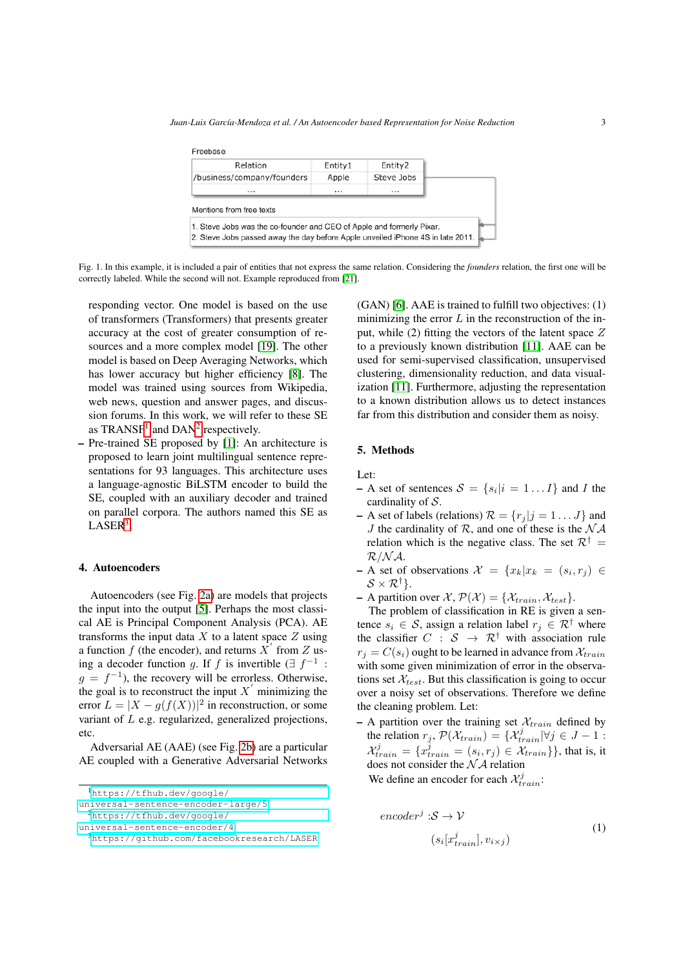<span id="page-3-0"></span>

| Relation                                                              | Entity1  | Entity2    |  |
|-----------------------------------------------------------------------|----------|------------|--|
| /business/company/founders                                            | Apple    | Steve Jobs |  |
| $\cdots$                                                              | $\cdots$ |            |  |
|                                                                       |          |            |  |
| Mentions from free texts                                              |          |            |  |
| 1. Steve Jobs was the co-founder and CEO of Apple and formerly Pixar. |          |            |  |

Fig. 1. In this example, it is included a pair of entities that not express the same relation. Considering the *founders* relation, the first one will be correctly labeled. While the second will not. Example reproduced from [\[21\]](#page-8-4).

responding vector. One model is based on the use of transformers (Transformers) that presents greater accuracy at the cost of greater consumption of resources and a more complex model [\[19\]](#page-8-12). The other model is based on Deep Averaging Networks, which has lower accuracy but higher efficiency [\[8\]](#page-8-13). The model was trained using sources from Wikipedia, web news, question and answer pages, and discussion forums. In this work, we will refer to these SE as  $TRANSF<sup>1</sup>$  $TRANSF<sup>1</sup>$  $TRANSF<sup>1</sup>$  and  $DAN<sup>2</sup>$  $DAN<sup>2</sup>$  $DAN<sup>2</sup>$  respectively.

– Pre-trained SE proposed by [\[1\]](#page-7-3): An architecture is proposed to learn joint multilingual sentence representations for 93 languages. This architecture uses a language-agnostic BiLSTM encoder to build the SE, coupled with an auxiliary decoder and trained on parallel corpora. The authors named this SE as  $LASER^3$  $LASER^3$ .

#### 4. Autoencoders

Autoencoders (see Fig. [2a\)](#page-4-0) are models that projects the input into the output [\[5\]](#page-7-4). Perhaps the most classical AE is Principal Component Analysis (PCA). AE transforms the input data  $X$  to a latent space  $Z$  using a function f (the encoder), and returns  $\overrightarrow{X}$  from Z using a decoder function g. If f is invertible  $(\exists f^{-1}$ :  $g = f^{-1}$ ), the recovery will be errorless. Otherwise, the goal is to reconstruct the input  $X'$  minimizing the error  $L = |X - g(f(X))|^2$  in reconstruction, or some variant of L e.g. regularized, generalized projections, etc.

Adversarial AE (AAE) (see Fig. [2b\)](#page-4-1) are a particular AE coupled with a Generative Adversarial Networks (GAN) [\[6\]](#page-7-5). AAE is trained to fulfill two objectives: (1) minimizing the error  $L$  in the reconstruction of the input, while  $(2)$  fitting the vectors of the latent space  $Z$ to a previously known distribution [\[11\]](#page-8-14). AAE can be used for semi-supervised classification, unsupervised clustering, dimensionality reduction, and data visualization [\[11\]](#page-8-14). Furthermore, adjusting the representation to a known distribution allows us to detect instances far from this distribution and consider them as noisy.

#### 5. Methods

Let:

- $-$  A set of sentences  $S = \{s_i | i = 1...I\}$  and I the cardinality of S.
- A set of labels (relations)  $\mathcal{R} = \{r_i | i = 1 \dots J\}$  and J the cardinality of  $\mathcal{R}$ , and one of these is the  $\mathcal{N} \mathcal{A}$ relation which is the negative class. The set  $\mathcal{R}^{\dagger}$  =  $R/N$  $A$ .
- $-$  A set of observations  $\mathcal{X} = \{x_k | x_k = (s_i, r_j) \in$  $S \times \mathcal{R}^{\dagger}$ .
- A partition over  $\mathcal{X}, \mathcal{P}(\mathcal{X}) = \{\mathcal{X}_{train}, \mathcal{X}_{test}\}.$

The problem of classification in RE is given a sentence  $s_i \in \mathcal{S}$ , assign a relation label  $r_i \in \mathcal{R}^{\dagger}$  where the classifier  $C : S \rightarrow \mathbb{R}^{\dagger}$  with association rule  $r_i = C(s_i)$  ought to be learned in advance from  $\mathcal{X}_{train}$ with some given minimization of error in the observations set  $\mathcal{X}_{test}$ . But this classification is going to occur over a noisy set of observations. Therefore we define the cleaning problem. Let:

– A partition over the training set  $\mathcal{X}_{train}$  defined by the relation  $r_j$ ,  $\mathcal{P}(\mathcal{X}_{train}) = {\mathcal{X}_{train}^j | \forall j \in J - 1}$ :  $\mathcal{X}_{train}^j = \{x_{train}^j = (s_i, r_j) \in \mathcal{X}_{train}\}$ , that is, it does not consider the  $\mathcal{N}$  relation

We define an encoder for each  $\mathcal{X}_{train}^j$ :

$$
encoderj: S \to V
$$
  
( $s_i[x_{train}^j], v_{i \times j}$ ) (1)

<span id="page-3-1"></span><sup>1</sup>[https://tfhub.dev/google/](https://tfhub.dev/google/universal-sentence-encoder-large/5)

[universal-sentence-encoder-large/5](https://tfhub.dev/google/universal-sentence-encoder-large/5)

<span id="page-3-2"></span><sup>2</sup>[https://tfhub.dev/google/](https://tfhub.dev/google/universal-sentence-encoder/4)

[universal-sentence-encoder/4](https://tfhub.dev/google/universal-sentence-encoder/4)

<span id="page-3-3"></span><sup>3</sup><https://github.com/facebookresearch/LASER>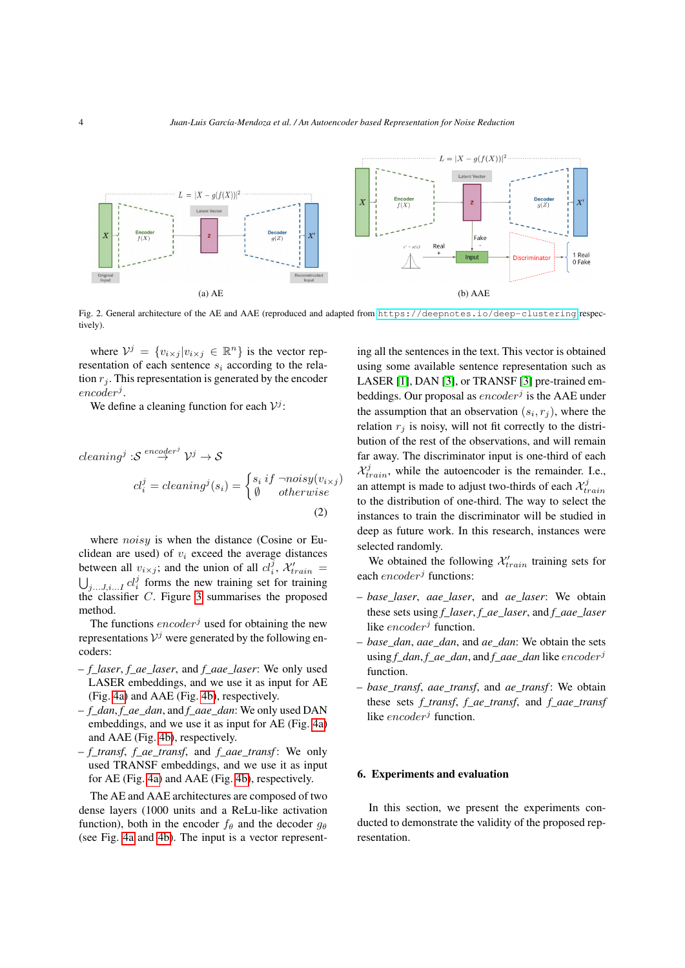<span id="page-4-0"></span>

Fig. 2. General architecture of the AE and AAE (reproduced and adapted from <https://deepnotes.io/deep-clustering> respectively).

where  $V^j = \{v_{i \times j} | v_{i \times j} \in \mathbb{R}^n\}$  is the vector representation of each sentence  $s_i$  according to the relation  $r_i$ . This representation is generated by the encoder  $encoder<sup>j</sup>.$ 

We define a cleaning function for each  $V^j$ :

cleaning<sup>j</sup> : 
$$
S^{encoder^j} \mathcal{V}^j \to S
$$
  
\n
$$
cl_i^j = cleaning^j(s_i) = \begin{cases} s_i \, if \, \neg noisy(v_{i \times j}) \\ \emptyset \, \qquad \text{otherwise} \end{cases}
$$
\n(2)

where *noisy* is when the distance (Cosine or Euclidean are used) of  $v_i$  exceed the average distances between all  $v_{i \times j}$ ; and the union of all  $cl_i^{\overline{j}}$ ,  $\mathcal{X}_{train}$  =  $\bigcup_{j...J,i...I} cl_i^j$  forms the new training set for training the classifier C. Figure [3](#page-5-0) summarises the proposed method.

The functions  $encoder<sup>j</sup>$  used for obtaining the new representations  $V^j$  were generated by the following encoders:

- *f\_laser*, *f\_ae\_laser*, and *f\_aae\_laser*: We only used LASER embeddings, and we use it as input for AE (Fig. [4a\)](#page-5-1) and AAE (Fig. [4b\)](#page-5-2), respectively.
- *f\_dan*, *f\_ae\_dan*, and *f\_aae\_dan*: We only used DAN embeddings, and we use it as input for AE (Fig. [4a\)](#page-5-1) and AAE (Fig. [4b\)](#page-5-2), respectively.
- *f\_transf*, *f\_ae\_transf*, and *f\_aae\_transf* : We only used TRANSF embeddings, and we use it as input for AE (Fig. [4a\)](#page-5-1) and AAE (Fig. [4b\)](#page-5-2), respectively.

The AE and AAE architectures are composed of two dense layers (1000 units and a ReLu-like activation function), both in the encoder  $f_\theta$  and the decoder  $g_\theta$ (see Fig. [4a](#page-5-1) and [4b\)](#page-5-2). The input is a vector represent<span id="page-4-1"></span>ing all the sentences in the text. This vector is obtained using some available sentence representation such as LASER [\[1\]](#page-7-3), DAN [\[3\]](#page-7-2), or TRANSF [\[3\]](#page-7-2) pre-trained embeddings. Our proposal as  $encoder<sup>j</sup>$  is the AAE under the assumption that an observation  $(s_i, r_j)$ , where the relation  $r_i$  is noisy, will not fit correctly to the distribution of the rest of the observations, and will remain far away. The discriminator input is one-third of each  $\mathcal{X}_{train}^j$ , while the autoencoder is the remainder. I.e., an attempt is made to adjust two-thirds of each  $\mathcal{X}_{train}^j$ to the distribution of one-third. The way to select the instances to train the discriminator will be studied in deep as future work. In this research, instances were selected randomly.

We obtained the following  $\mathcal{X}'_{train}$  training sets for each  $encoder<sup>j</sup>$  functions:

- *base\_laser*, *aae\_laser*, and *ae\_laser*: We obtain these sets using *f\_laser*, *f\_ae\_laser*, and *f\_aae\_laser* like  $encoder<sup>j</sup>$  function.
- *base\_dan*, *aae\_dan*, and *ae\_dan*: We obtain the sets using *f* dan, *f* ae dan, and *f* aae dan like encoder<sup>j</sup> function.
- *base\_transf*, *aae\_transf*, and *ae\_transf* : We obtain these sets *f\_transf*, *f\_ae\_transf*, and *f\_aae\_transf* like  $encoder^j$  function.

#### 6. Experiments and evaluation

In this section, we present the experiments conducted to demonstrate the validity of the proposed representation.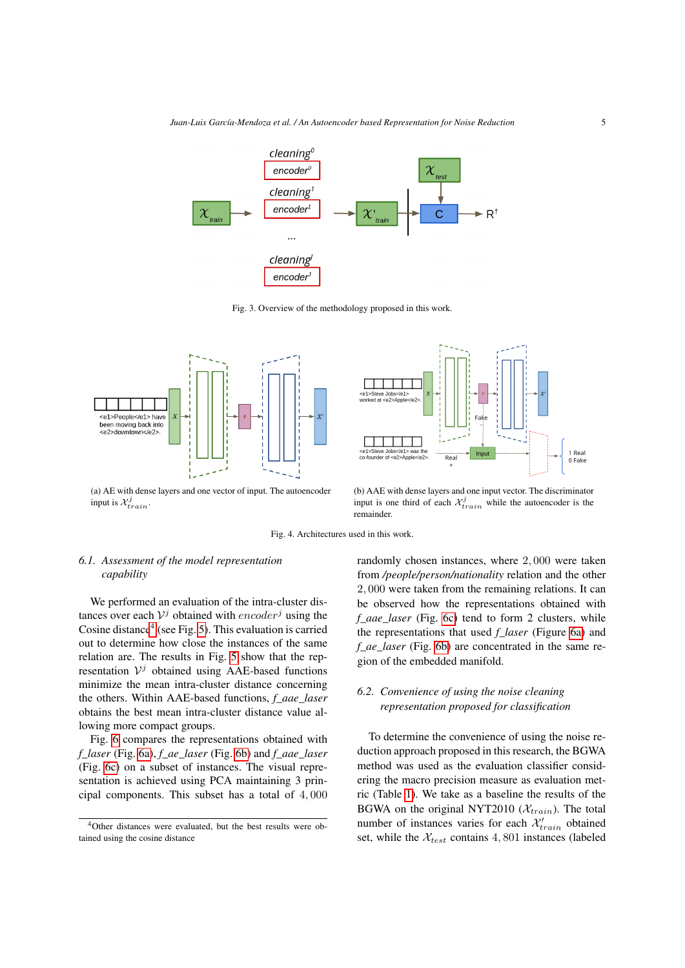<span id="page-5-0"></span>

Fig. 3. Overview of the methodology proposed in this work.

<span id="page-5-1"></span>

(a) AE with dense layers and one vector of input. The autoencoder input is  $\mathcal{X}_{train}^j$ .



<span id="page-5-2"></span>(b) AAE with dense layers and one input vector. The discriminator input is one third of each  $\mathcal{X}_{train}^j$  while the autoencoder is the remainder.

Fig. 4. Architectures used in this work.

#### *6.1. Assessment of the model representation capability*

We performed an evaluation of the intra-cluster distances over each  $V^j$  obtained with  $encoder^j$  using the Cosine distance<sup>[4](#page-5-3)</sup> (see Fig. [5\)](#page-6-0). This evaluation is carried out to determine how close the instances of the same relation are. The results in Fig. [5](#page-6-0) show that the representation  $V^j$  obtained using AAE-based functions minimize the mean intra-cluster distance concerning the others. Within AAE-based functions, *f\_aae\_laser* obtains the best mean intra-cluster distance value allowing more compact groups.

Fig. [6](#page-6-1) compares the representations obtained with *f\_laser* (Fig. [6a\)](#page-6-2), *f\_ae\_laser* (Fig. [6b\)](#page-6-3) and *f\_aae\_laser* (Fig. [6c\)](#page-6-4) on a subset of instances. The visual representation is achieved using PCA maintaining 3 principal components. This subset has a total of 4, 000

randomly chosen instances, where 2, 000 were taken from */people/person/nationality* relation and the other 2, 000 were taken from the remaining relations. It can be observed how the representations obtained with *f\_aae\_laser* (Fig. [6c\)](#page-6-4) tend to form 2 clusters, while the representations that used *f\_laser* (Figure [6a\)](#page-6-2) and *f\_ae\_laser* (Fig. [6b\)](#page-6-3) are concentrated in the same region of the embedded manifold.

#### *6.2. Convenience of using the noise cleaning representation proposed for classification*

To determine the convenience of using the noise reduction approach proposed in this research, the BGWA method was used as the evaluation classifier considering the macro precision measure as evaluation metric (Table [1\)](#page-7-6). We take as a baseline the results of the BGWA on the original NYT2010 ( $\mathcal{X}_{train}$ ). The total number of instances varies for each  $\mathcal{X}'_{train}$  obtained set, while the  $\mathcal{X}_{test}$  contains 4, 801 instances (labeled

<span id="page-5-3"></span><sup>4</sup>Other distances were evaluated, but the best results were obtained using the cosine distance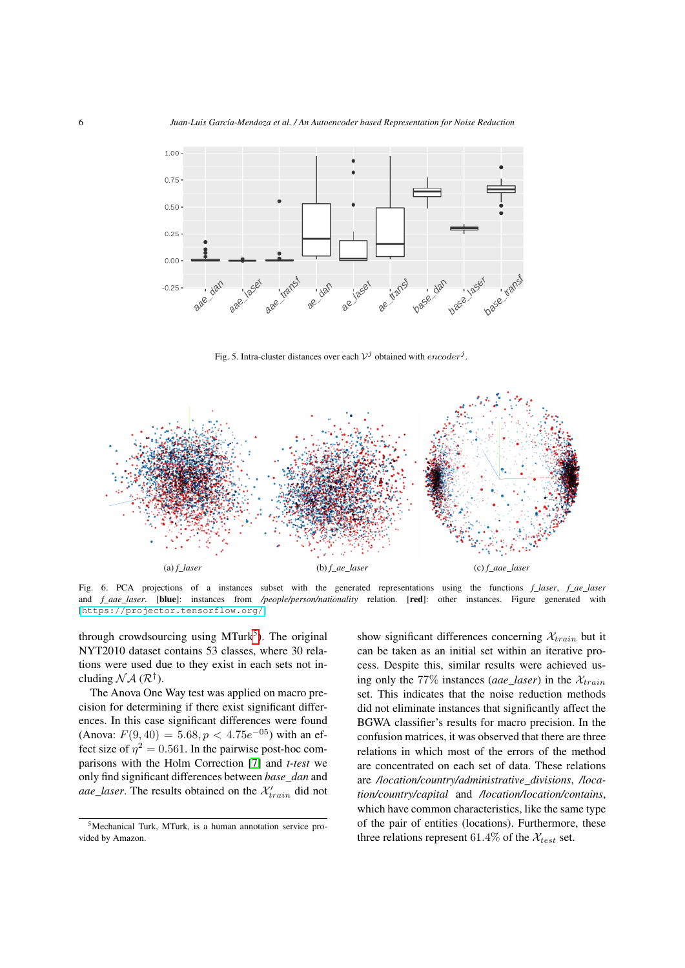<span id="page-6-0"></span>

Fig. 5. Intra-cluster distances over each  $V^j$  obtained with  $encoder^j$ .

<span id="page-6-2"></span><span id="page-6-1"></span>

Fig. 6. PCA projections of a instances subset with the generated representations using the functions *f laser*, *f* ae *laser* and *f\_aae\_laser*. [blue]: instances from */people/person/nationality* relation. [red]: other instances. Figure generated with [<https://projector.tensorflow.org/>]

through crowdsourcing using MTurk<sup>[5](#page-6-5)</sup>). The original NYT2010 dataset contains 53 classes, where 30 relations were used due to they exist in each sets not including  $N A$  ( $\mathcal{R}^{\dagger}$ ).

The Anova One Way test was applied on macro precision for determining if there exist significant differences. In this case significant differences were found (Anova:  $F(9, 40) = 5.68, p < 4.75e^{-0.5}$ ) with an effect size of  $\eta^2 = 0.561$ . In the pairwise post-hoc comparisons with the Holm Correction [\[7\]](#page-7-7) and *t-test* we only find significant differences between *base\_dan* and *aae\_laser*. The results obtained on the  $\mathcal{X}'_{train}$  did not

<span id="page-6-4"></span><span id="page-6-3"></span>show significant differences concerning  $\mathcal{X}_{train}$  but it can be taken as an initial set within an iterative process. Despite this, similar results were achieved using only the 77% instances (*aae\_laser*) in the  $\mathcal{X}_{train}$ set. This indicates that the noise reduction methods did not eliminate instances that significantly affect the BGWA classifier's results for macro precision. In the confusion matrices, it was observed that there are three relations in which most of the errors of the method are concentrated on each set of data. These relations are */location/country/administrative\_divisions*, */location/country/capital* and */location/location/contains*, which have common characteristics, like the same type of the pair of entities (locations). Furthermore, these three relations represent 61.4% of the  $\mathcal{X}_{test}$  set.

<span id="page-6-5"></span><sup>5</sup>Mechanical Turk, MTurk, is a human annotation service provided by Amazon.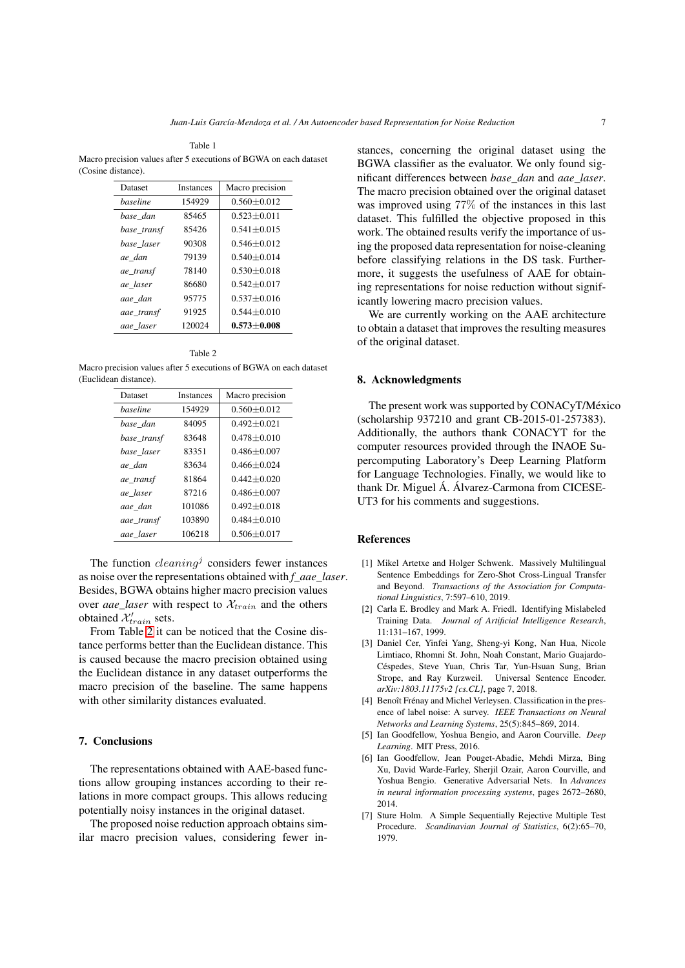<span id="page-7-6"></span>Table 1 Macro precision values after 5 executions of BGWA on each dataset (Cosine distance).

| Dataset     | <b>Instances</b> | Macro precision |
|-------------|------------------|-----------------|
| haseline    | 154929           | $0.560 + 0.012$ |
| base dan    | 85465            | $0.523 + 0.011$ |
| base_transf | 85426            | $0.541 + 0.015$ |
| base laser  | 90308            | $0.546 + 0.012$ |
| ae dan      | 79139            | $0.540 + 0.014$ |
| ae_transf   | 78140            | $0.530 + 0.018$ |
| ae laser    | 86680            | $0.542 + 0.017$ |
| aae dan     | 95775            | $0.537 + 0.016$ |
| aae_transf  | 91925            | $0.544 + 0.010$ |
| aae laser   | 120024           | $0.573 + 0.008$ |

Table 2

<span id="page-7-8"></span>Macro precision values after 5 executions of BGWA on each dataset (Euclidean distance).

| Dataset     | Instances | Macro precision |
|-------------|-----------|-----------------|
| haseline    | 154929    | $0.560 + 0.012$ |
| base dan    | 84095     | $0.492 + 0.021$ |
| base_transf | 83648     | $0.478 + 0.010$ |
| base laser  | 83351     | $0.486 + 0.007$ |
| ae_dan      | 83634     | $0.466 + 0.024$ |
| ae transf   | 81864     | $0.442 + 0.020$ |
| ae laser    | 87216     | $0.486 + 0.007$ |
| aae dan     | 101086    | $0.492 + 0.018$ |
| aae transf  | 103890    | $0.484 + 0.010$ |
| aae laser   | 106218    | $0.506 + 0.017$ |

The function  $cleaning<sup>j</sup>$  considers fewer instances as noise over the representations obtained with *f\_aae\_laser*. Besides, BGWA obtains higher macro precision values over *aae\_laser* with respect to  $\mathcal{X}_{train}$  and the others obtained  $\mathcal{X}'_{train}$  sets.

From Table [2](#page-7-8) it can be noticed that the Cosine distance performs better than the Euclidean distance. This is caused because the macro precision obtained using the Euclidean distance in any dataset outperforms the macro precision of the baseline. The same happens with other similarity distances evaluated.

#### 7. Conclusions

The representations obtained with AAE-based functions allow grouping instances according to their relations in more compact groups. This allows reducing potentially noisy instances in the original dataset.

The proposed noise reduction approach obtains similar macro precision values, considering fewer instances, concerning the original dataset using the BGWA classifier as the evaluator. We only found significant differences between *base\_dan* and *aae\_laser*. The macro precision obtained over the original dataset was improved using 77% of the instances in this last dataset. This fulfilled the objective proposed in this work. The obtained results verify the importance of using the proposed data representation for noise-cleaning before classifying relations in the DS task. Furthermore, it suggests the usefulness of AAE for obtaining representations for noise reduction without significantly lowering macro precision values.

We are currently working on the AAE architecture to obtain a dataset that improves the resulting measures of the original dataset.

#### 8. Acknowledgments

The present work was supported by CONACyT/México (scholarship 937210 and grant CB-2015-01-257383). Additionally, the authors thank CONACYT for the computer resources provided through the INAOE Supercomputing Laboratory's Deep Learning Platform for Language Technologies. Finally, we would like to thank Dr. Miguel Á. Álvarez-Carmona from CICESE-UT3 for his comments and suggestions.

#### References

- <span id="page-7-3"></span>[1] Mikel Artetxe and Holger Schwenk. Massively Multilingual Sentence Embeddings for Zero-Shot Cross-Lingual Transfer and Beyond. *Transactions of the Association for Computational Linguistics*, 7:597–610, 2019.
- <span id="page-7-1"></span>[2] Carla E. Brodley and Mark A. Friedl. Identifying Mislabeled Training Data. *Journal of Artificial Intelligence Research*, 11:131–167, 1999.
- <span id="page-7-2"></span>[3] Daniel Cer, Yinfei Yang, Sheng-yi Kong, Nan Hua, Nicole Limtiaco, Rhomni St. John, Noah Constant, Mario Guajardo-Céspedes, Steve Yuan, Chris Tar, Yun-Hsuan Sung, Brian Strope, and Ray Kurzweil. Universal Sentence Encoder. *arXiv:1803.11175v2 [cs.CL]*, page 7, 2018.
- <span id="page-7-0"></span>[4] Benoît Frénay and Michel Verleysen. Classification in the presence of label noise: A survey. *IEEE Transactions on Neural Networks and Learning Systems*, 25(5):845–869, 2014.
- <span id="page-7-4"></span>[5] Ian Goodfellow, Yoshua Bengio, and Aaron Courville. *Deep Learning*. MIT Press, 2016.
- <span id="page-7-5"></span>[6] Ian Goodfellow, Jean Pouget-Abadie, Mehdi Mirza, Bing Xu, David Warde-Farley, Sherjil Ozair, Aaron Courville, and Yoshua Bengio. Generative Adversarial Nets. In *Advances in neural information processing systems*, pages 2672–2680, 2014.
- <span id="page-7-7"></span>[7] Sture Holm. A Simple Sequentially Rejective Multiple Test Procedure. *Scandinavian Journal of Statistics*, 6(2):65–70, 1979.